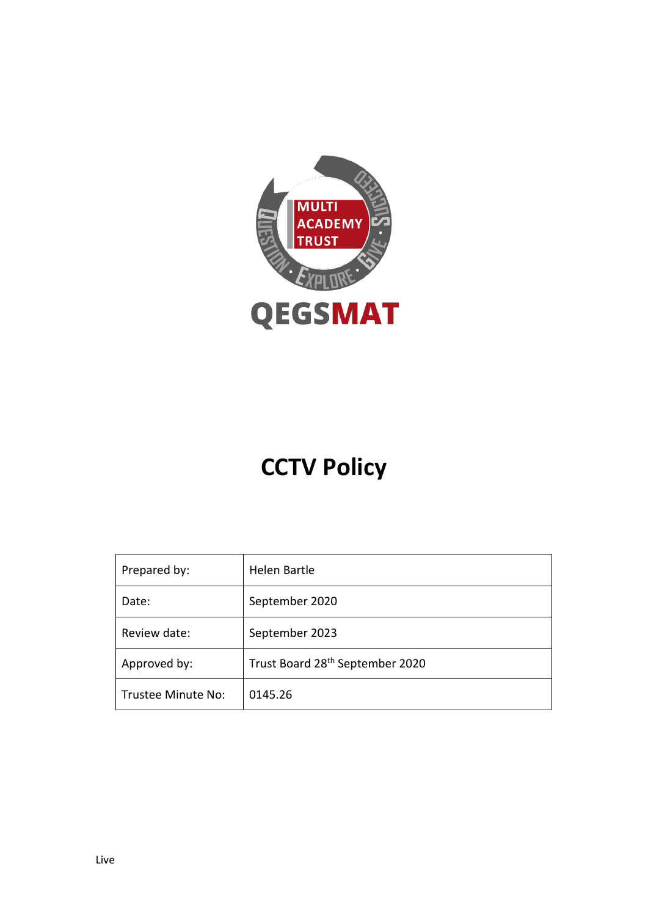

# **CCTV Policy**

| Prepared by:       | Helen Bartle                                |
|--------------------|---------------------------------------------|
| Date:              | September 2020                              |
| Review date:       | September 2023                              |
| Approved by:       | Trust Board 28 <sup>th</sup> September 2020 |
| Trustee Minute No: | 0145.26                                     |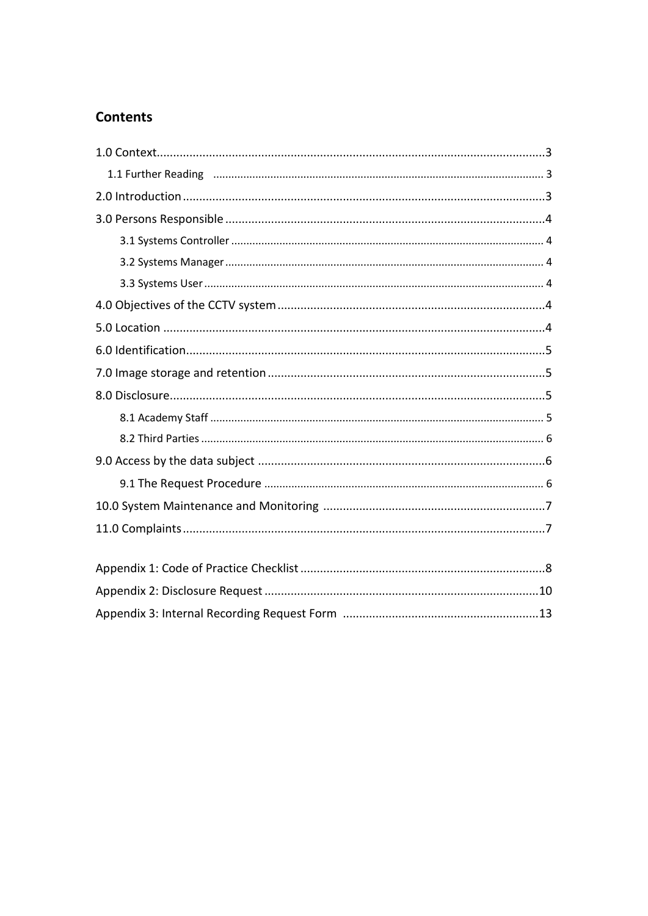### **Contents**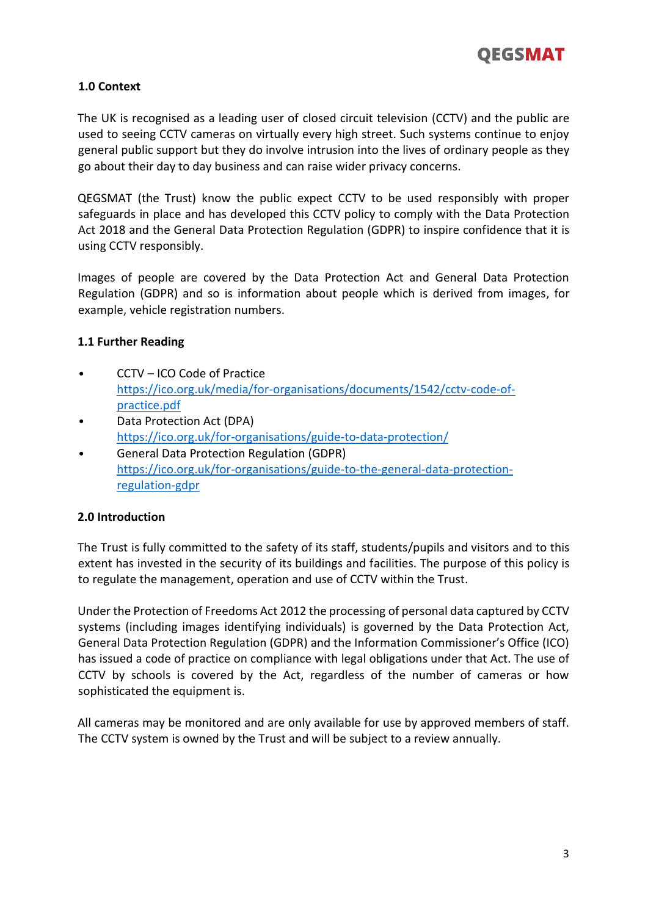

#### **1.0 Context**

The UK is recognised as a leading user of closed circuit television (CCTV) and the public are used to seeing CCTV cameras on virtually every high street. Such systems continue to enjoy general public support but they do involve intrusion into the lives of ordinary people as they go about their day to day business and can raise wider privacy concerns.

QEGSMAT (the Trust) know the public expect CCTV to be used responsibly with proper safeguards in place and has developed this CCTV policy to comply with the Data Protection Act 2018 and the General Data Protection Regulation (GDPR) to inspire confidence that it is using CCTV responsibly.

Images of people are covered by the Data Protection Act and General Data Protection Regulation (GDPR) and so is information about people which is derived from images, for example, vehicle registration numbers.

#### **1.1 Further Reading**

- CCTV ICO Code of Practice <https://ico.org.uk/media/for>[-organisations/documents/1542/cctv-code-of](https://ico.org.uk/media/for-organisations/documents/1542/cctv-code-of-practice.pdf)[practice.pdf](https://ico.org.uk/media/for-organisations/documents/1542/cctv-code-of-practice.pdf)
- Data Protection Act (DPA) <https://ico.org.uk/for>[-organisations/guide-to-data-protection/](https://ico.org.uk/for-organisations/guide-to-data-protection/)
- General Data Protection Regulation (GDPR) <https://ico.org.uk/for>[-organisations/guide-to-the-general-data-protection](https://ico.org.uk/for-organisations/guide-to-the-general-data-protection-regulation-gdpr)[regulation-gdpr](https://ico.org.uk/for-organisations/guide-to-the-general-data-protection-regulation-gdpr)

#### **2.0 Introduction**

The Trust is fully committed to the safety of its staff, students/pupils and visitors and to this extent has invested in the security of its buildings and facilities. The purpose of this policy is to regulate the management, operation and use of CCTV within the Trust.

Under the Protection of Freedoms Act 2012 the processing of personal data captured by CCTV systems (including images identifying individuals) is governed by the Data Protection Act, General Data Protection Regulation (GDPR) and the Information Commissioner's Office (ICO) has issued a code of practice on compliance with legal obligations under that Act. The use of CCTV by schools is covered by the Act, regardless of the number of cameras or how sophisticated the equipment is.

All cameras may be monitored and are only available for use by approved members of staff. The CCTV system is owned by the Trust and will be subject to a review annually.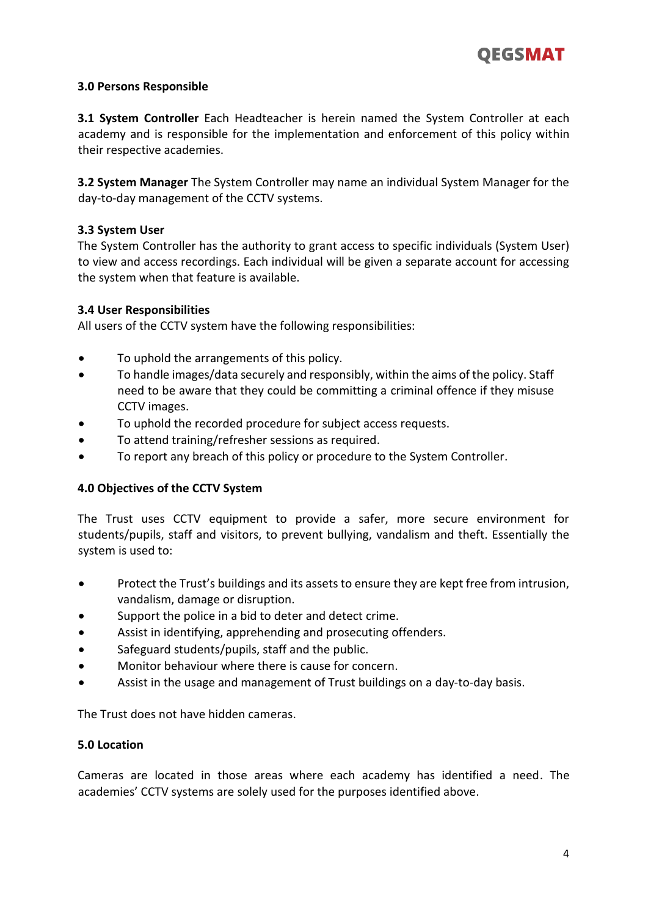

#### **3.0 Persons Responsible**

**3.1 System Controller** Each Headteacher is herein named the System Controller at each academy and is responsible for the implementation and enforcement of this policy within their respective academies.

**3.2 System Manager** The System Controller may name an individual System Manager for the day-to-day management of the CCTV systems.

#### **3.3 System User**

The System Controller has the authority to grant access to specific individuals (System User) to view and access recordings. Each individual will be given a separate account for accessing the system when that feature is available.

#### **3.4 User Responsibilities**

All users of the CCTV system have the following responsibilities:

- To uphold the arrangements of this policy.
- To handle images/data securely and responsibly, within the aims of the policy. Staff need to be aware that they could be committing a criminal offence if they misuse CCTV images.
- To uphold the recorded procedure for subject access requests.
- To attend training/refresher sessions as required.
- To report any breach of this policy or procedure to the System Controller.

#### **4.0 Objectives of the CCTV System**

The Trust uses CCTV equipment to provide a safer, more secure environment for students/pupils, staff and visitors, to prevent bullying, vandalism and theft. Essentially the system is used to:

- Protect the Trust's buildings and its assets to ensure they are kept free from intrusion, vandalism, damage or disruption.
- Support the police in a bid to deter and detect crime.
- Assist in identifying, apprehending and prosecuting offenders.
- Safeguard students/pupils, staff and the public.
- Monitor behaviour where there is cause for concern.
- Assist in the usage and management of Trust buildings on a day-to-day basis.

The Trust does not have hidden cameras.

#### **5.0 Location**

Cameras are located in those areas where each academy has identified a need. The academies' CCTV systems are solely used for the purposes identified above.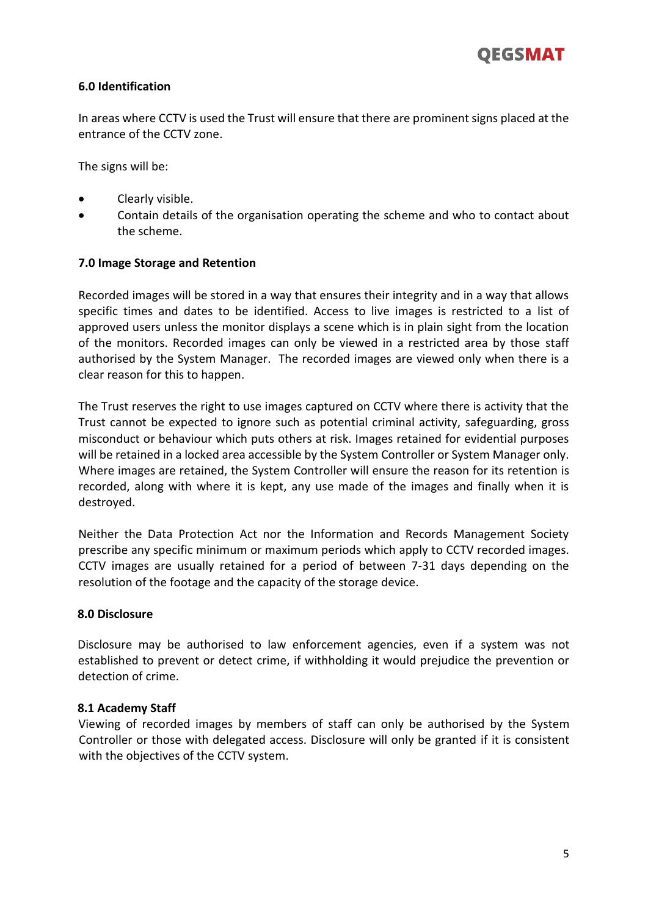

#### **6.0 Identification**

In areas where CCTV is used the Trust will ensure that there are prominent signs placed at the entrance of the CCTV zone.

The signs will be:

- Clearly visible.
- Contain details of the organisation operating the scheme and who to contact about the scheme.

#### **7.0 Image Storage and Retention**

Recorded images will be stored in a way that ensures their integrity and in a way that allows specific times and dates to be identified. Access to live images is restricted to a list of approved users unless the monitor displays a scene which is in plain sight from the location of the monitors. Recorded images can only be viewed in a restricted area by those staff authorised by the System Manager. The recorded images are viewed only when there is a clear reason for this to happen.

The Trust reserves the right to use images captured on CCTV where there is activity that the Trust cannot be expected to ignore such as potential criminal activity, safeguarding, gross misconduct or behaviour which puts others at risk. Images retained for evidential purposes will be retained in a locked area accessible by the System Controller or System Manager only. Where images are retained, the System Controller will ensure the reason for its retention is recorded, along with where it is kept, any use made of the images and finally when it is destroyed.

Neither the Data Protection Act nor the Information and Records Management Society prescribe any specific minimum or maximum periods which apply to CCTV recorded images. CCTV images are usually retained for a period of between 7-31 days depending on the resolution of the footage and the capacity of the storage device.

#### **8.0 Disclosure**

Disclosure may be authorised to law enforcement agencies, even if a system was not established to prevent or detect crime, if withholding it would prejudice the prevention or detection of crime.

#### **8.1 Academy Staff**

Viewing of recorded images by members of staff can only be authorised by the System Controller or those with delegated access. Disclosure will only be granted if it is consistent with the objectives of the CCTV system.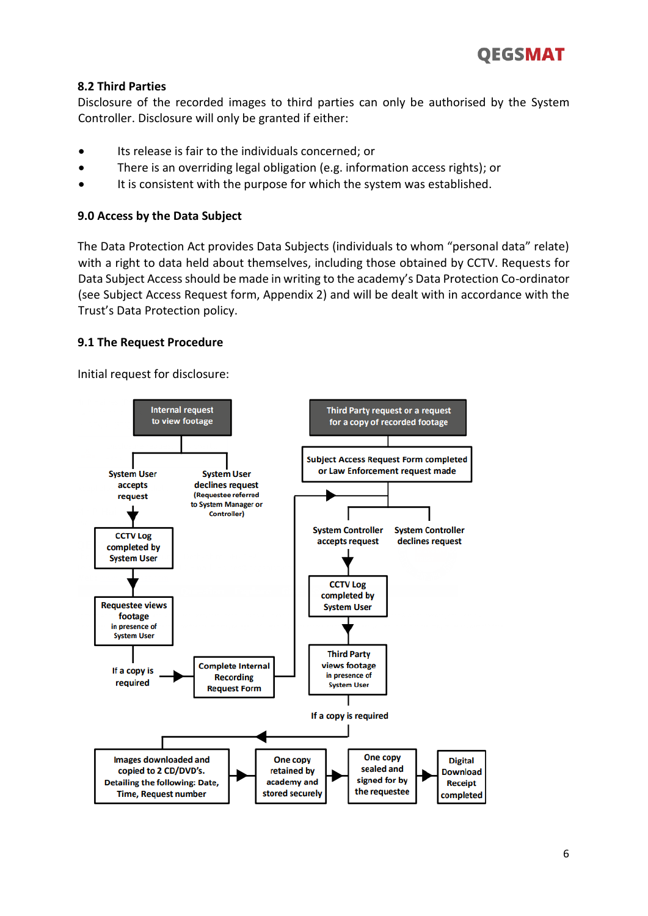#### **8.2 Third Parties**

Disclosure of the recorded images to third parties can only be authorised by the System Controller. Disclosure will only be granted if either:

- Its release is fair to the individuals concerned; or
- There is an overriding legal obligation (e.g. information access rights); or
- It is consistent with the purpose for which the system was established.

#### **9.0 Access by the Data Subject**

The Data Protection Act provides Data Subjects (individuals to whom "personal data" relate) with a right to data held about themselves, including those obtained by CCTV. Requests for Data Subject Access should be made in writing to the academy's Data Protection Co-ordinator (see Subject Access Request form, Appendix 2) and will be dealt with in accordance with the Trust's Data Protection policy.

#### **9.1 The Request Procedure**

Initial request for disclosure:

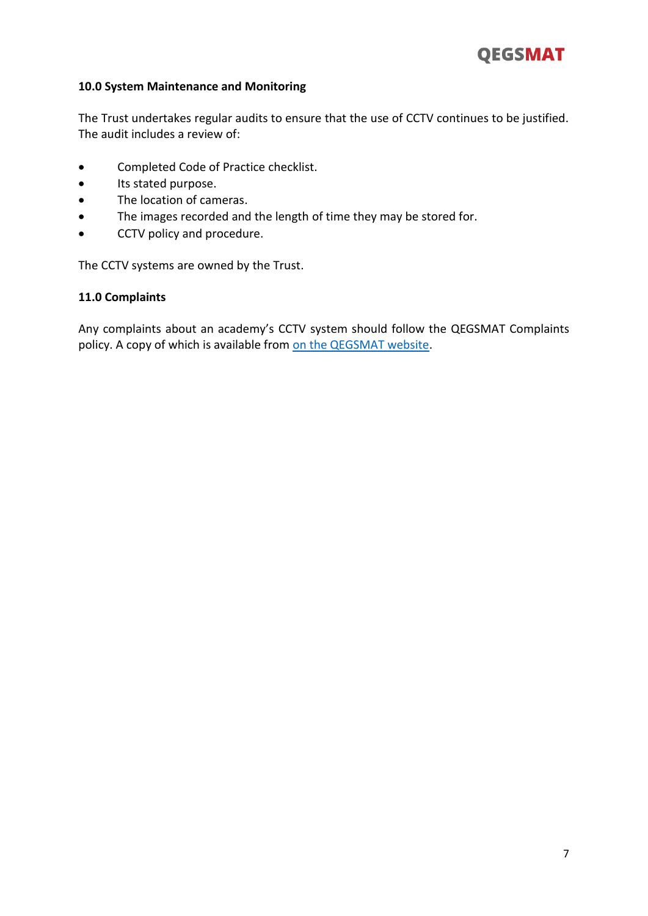

#### **10.0 System Maintenance and Monitoring**

The Trust undertakes regular audits to ensure that the use of CCTV continues to be justified. The audit includes a review of:

- Completed Code of Practice checklist.
- Its stated purpose.
- The location of cameras.
- The images recorded and the length of time they may be stored for.
- CCTV policy and procedure.

The CCTV systems are owned by the Trust.

#### **11.0 Complaints**

Any complaints about an academy's CCTV system should follow the QEGSMAT Complaints policy. A copy of which is available from [on the QEGSMAT website.](http://www.qegsmat.com/documents/policies/)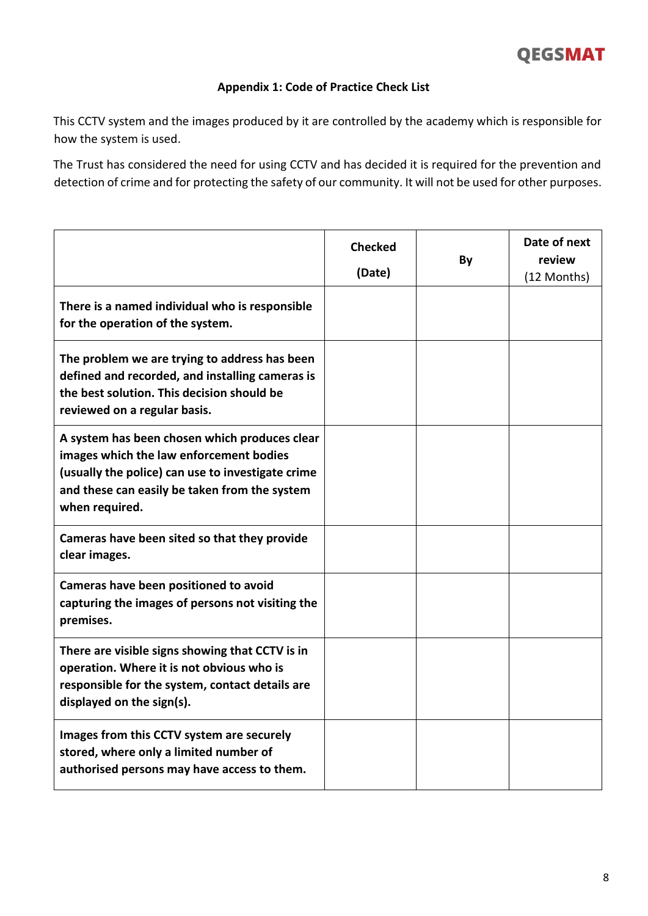#### **Appendix 1: Code of Practice Check List**

This CCTV system and the images produced by it are controlled by the academy which is responsible for how the system is used.

The Trust has considered the need for using CCTV and has decided it is required for the prevention and detection of crime and for protecting the safety of our community. It will not be used for other purposes.

|                                                                                                                                                                                                                  | <b>Checked</b><br>(Date) | By | Date of next<br>review<br>(12 Months) |
|------------------------------------------------------------------------------------------------------------------------------------------------------------------------------------------------------------------|--------------------------|----|---------------------------------------|
| There is a named individual who is responsible<br>for the operation of the system.                                                                                                                               |                          |    |                                       |
| The problem we are trying to address has been<br>defined and recorded, and installing cameras is<br>the best solution. This decision should be<br>reviewed on a regular basis.                                   |                          |    |                                       |
| A system has been chosen which produces clear<br>images which the law enforcement bodies<br>(usually the police) can use to investigate crime<br>and these can easily be taken from the system<br>when required. |                          |    |                                       |
| Cameras have been sited so that they provide<br>clear images.                                                                                                                                                    |                          |    |                                       |
| Cameras have been positioned to avoid<br>capturing the images of persons not visiting the<br>premises.                                                                                                           |                          |    |                                       |
| There are visible signs showing that CCTV is in<br>operation. Where it is not obvious who is<br>responsible for the system, contact details are<br>displayed on the sign(s).                                     |                          |    |                                       |
| Images from this CCTV system are securely<br>stored, where only a limited number of<br>authorised persons may have access to them.                                                                               |                          |    |                                       |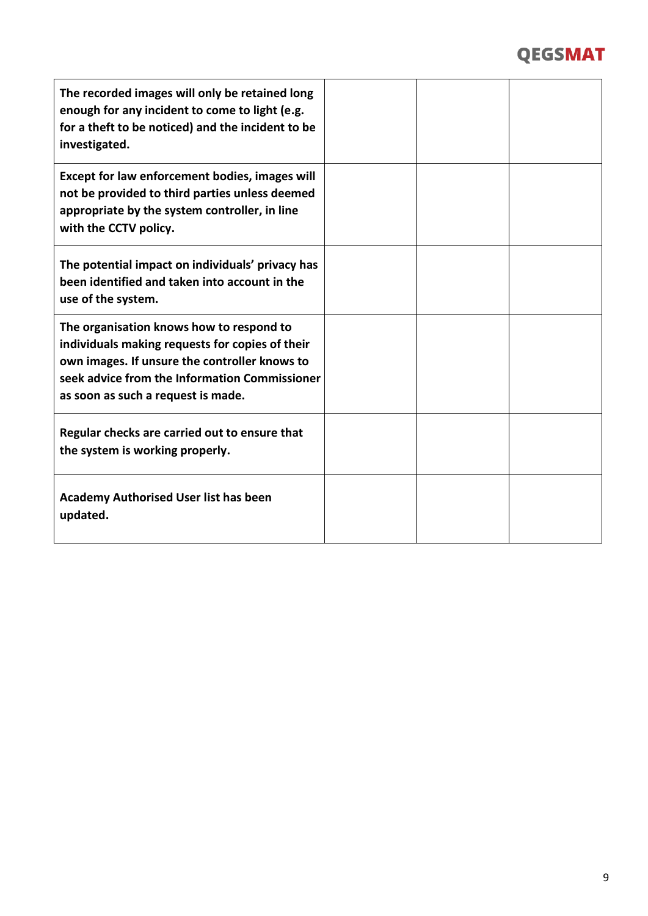# QEGSMAT

| The recorded images will only be retained long<br>enough for any incident to come to light (e.g.<br>for a theft to be noticed) and the incident to be<br>investigated.                                                              |  |  |
|-------------------------------------------------------------------------------------------------------------------------------------------------------------------------------------------------------------------------------------|--|--|
| Except for law enforcement bodies, images will<br>not be provided to third parties unless deemed<br>appropriate by the system controller, in line<br>with the CCTV policy.                                                          |  |  |
| The potential impact on individuals' privacy has<br>been identified and taken into account in the<br>use of the system.                                                                                                             |  |  |
| The organisation knows how to respond to<br>individuals making requests for copies of their<br>own images. If unsure the controller knows to<br>seek advice from the Information Commissioner<br>as soon as such a request is made. |  |  |
| Regular checks are carried out to ensure that<br>the system is working properly.                                                                                                                                                    |  |  |
| <b>Academy Authorised User list has been</b><br>updated.                                                                                                                                                                            |  |  |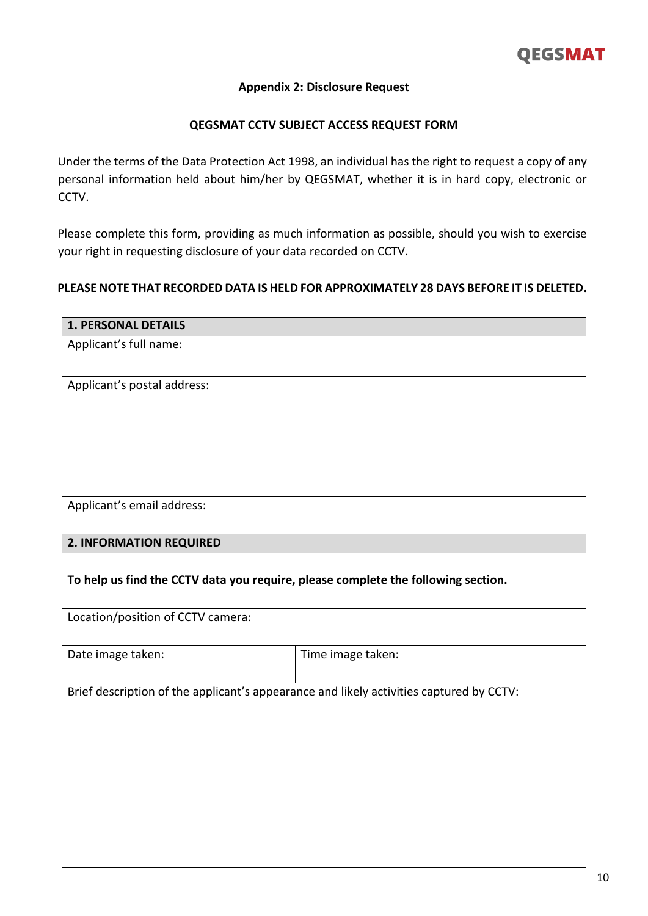#### **Appendix 2: Disclosure Request**

#### **QEGSMAT CCTV SUBJECT ACCESS REQUEST FORM**

Under the terms of the Data Protection Act 1998, an individual has the right to request a copy of any personal information held about him/her by QEGSMAT, whether it is in hard copy, electronic or CCTV.

Please complete this form, providing as much information as possible, should you wish to exercise your right in requesting disclosure of your data recorded on CCTV.

#### **PLEASE NOTE THAT RECORDED DATA IS HELD FOR APPROXIMATELY 28 DAYS BEFORE IT IS DELETED.**

| <b>1. PERSONAL DETAILS</b>                                                              |                   |
|-----------------------------------------------------------------------------------------|-------------------|
| Applicant's full name:                                                                  |                   |
| Applicant's postal address:                                                             |                   |
| Applicant's email address:                                                              |                   |
| 2. INFORMATION REQUIRED                                                                 |                   |
| To help us find the CCTV data you require, please complete the following section.       |                   |
| Location/position of CCTV camera:                                                       |                   |
| Date image taken:                                                                       | Time image taken: |
| Brief description of the applicant's appearance and likely activities captured by CCTV: |                   |
|                                                                                         |                   |
|                                                                                         |                   |
|                                                                                         |                   |
|                                                                                         |                   |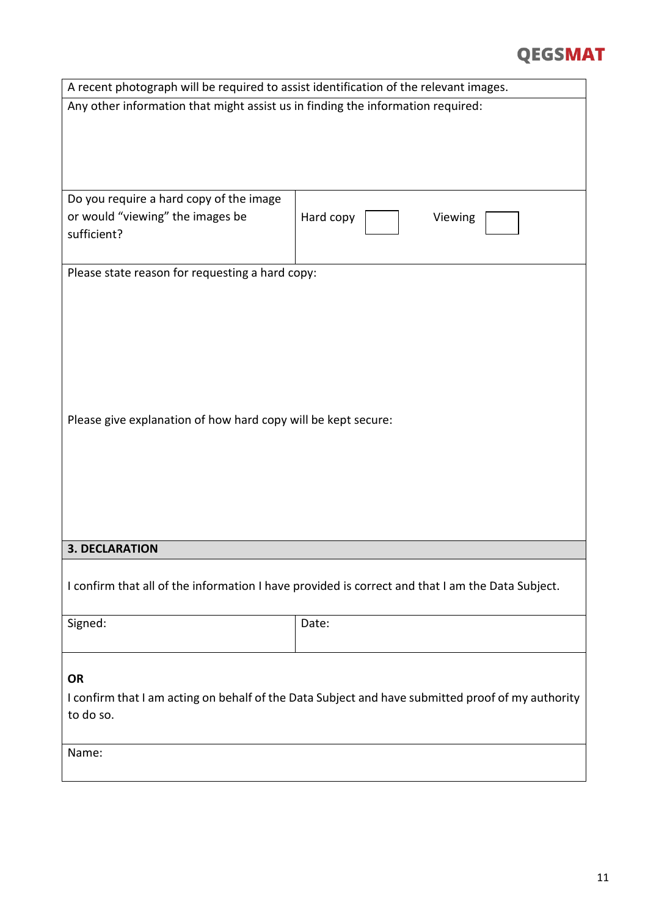## **QEGSMAT**

| A recent photograph will be required to assist identification of the relevant images.             |                      |  |
|---------------------------------------------------------------------------------------------------|----------------------|--|
| Any other information that might assist us in finding the information required:                   |                      |  |
|                                                                                                   |                      |  |
|                                                                                                   |                      |  |
|                                                                                                   |                      |  |
|                                                                                                   |                      |  |
| Do you require a hard copy of the image                                                           |                      |  |
| or would "viewing" the images be<br>sufficient?                                                   | Hard copy<br>Viewing |  |
|                                                                                                   |                      |  |
|                                                                                                   |                      |  |
| Please state reason for requesting a hard copy:                                                   |                      |  |
|                                                                                                   |                      |  |
|                                                                                                   |                      |  |
|                                                                                                   |                      |  |
|                                                                                                   |                      |  |
|                                                                                                   |                      |  |
|                                                                                                   |                      |  |
| Please give explanation of how hard copy will be kept secure:                                     |                      |  |
|                                                                                                   |                      |  |
|                                                                                                   |                      |  |
|                                                                                                   |                      |  |
|                                                                                                   |                      |  |
|                                                                                                   |                      |  |
|                                                                                                   |                      |  |
| <b>3. DECLARATION</b>                                                                             |                      |  |
|                                                                                                   |                      |  |
| I confirm that all of the information I have provided is correct and that I am the Data Subject.  |                      |  |
|                                                                                                   |                      |  |
| Signed:                                                                                           | Date:                |  |
|                                                                                                   |                      |  |
| <b>OR</b>                                                                                         |                      |  |
| I confirm that I am acting on behalf of the Data Subject and have submitted proof of my authority |                      |  |
| to do so.                                                                                         |                      |  |
|                                                                                                   |                      |  |
| Name:                                                                                             |                      |  |
|                                                                                                   |                      |  |
|                                                                                                   |                      |  |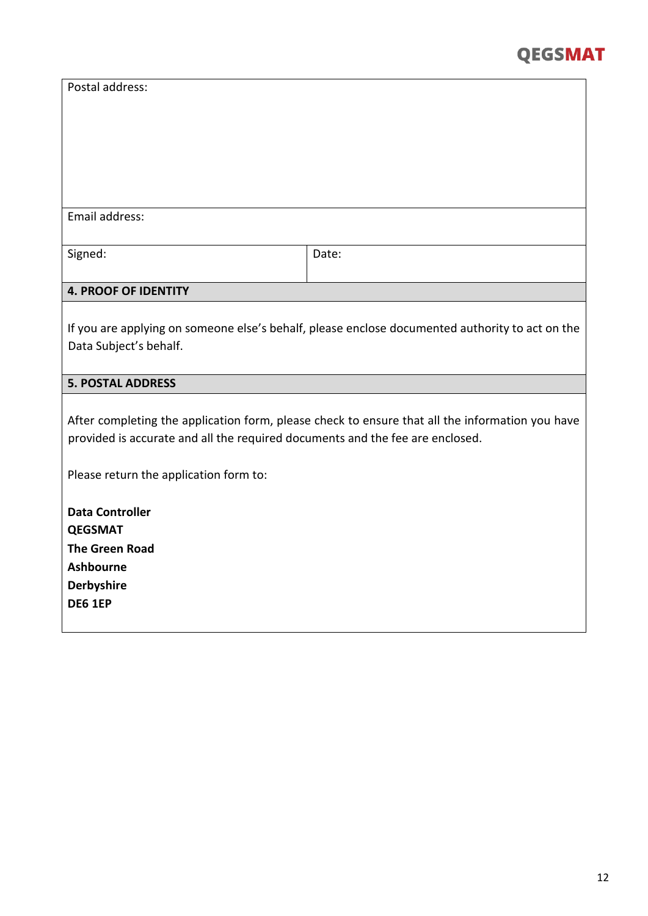| Postal address:                                                                                                                                                                  |       |  |
|----------------------------------------------------------------------------------------------------------------------------------------------------------------------------------|-------|--|
|                                                                                                                                                                                  |       |  |
| Email address:                                                                                                                                                                   |       |  |
| Signed:                                                                                                                                                                          | Date: |  |
| <b>4. PROOF OF IDENTITY</b>                                                                                                                                                      |       |  |
| If you are applying on someone else's behalf, please enclose documented authority to act on the<br>Data Subject's behalf.                                                        |       |  |
| <b>5. POSTAL ADDRESS</b>                                                                                                                                                         |       |  |
| After completing the application form, please check to ensure that all the information you have<br>provided is accurate and all the required documents and the fee are enclosed. |       |  |
| Please return the application form to:                                                                                                                                           |       |  |
| <b>Data Controller</b><br><b>QEGSMAT</b><br><b>The Green Road</b><br><b>Ashbourne</b><br><b>Derbyshire</b><br><b>DE6 1EP</b>                                                     |       |  |